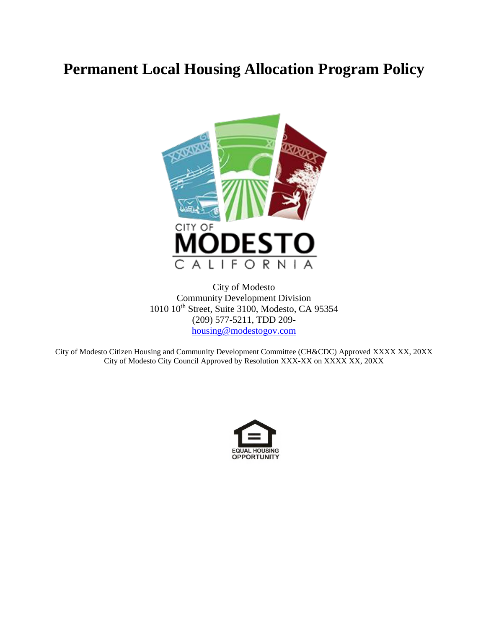# **Permanent Local Housing Allocation Program Policy**



City of Modesto Community Development Division 1010 10th Street, Suite 3100, Modesto, CA 95354 (209) 577-5211, TDD 209 [housing@modestogov.com](mailto:housing@modestogov.com)

City of Modesto Citizen Housing and Community Development Committee (CH&CDC) Approved XXXX XX, 20XX City of Modesto City Council Approved by Resolution XXX-XX on XXXX XX, 20XX

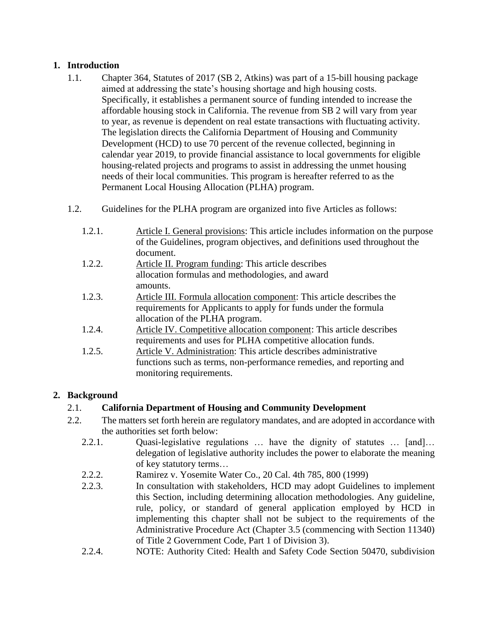# **1. Introduction**

- 1.1. Chapter 364, Statutes of 2017 (SB 2, Atkins) was part of a 15-bill housing package aimed at addressing the state's housing shortage and high housing costs. Specifically, it establishes a permanent source of funding intended to increase the affordable housing stock in California. The revenue from SB 2 will vary from year to year, as revenue is dependent on real estate transactions with fluctuating activity. The legislation directs the California Department of Housing and Community Development (HCD) to use 70 percent of the revenue collected, beginning in calendar year 2019, to provide financial assistance to local governments for eligible housing-related projects and programs to assist in addressing the unmet housing needs of their local communities. This program is hereafter referred to as the Permanent Local Housing Allocation (PLHA) program.
- 1.2. Guidelines for the PLHA program are organized into five Articles as follows:
	- 1.2.1. Article I. General provisions: This article includes information on the purpose of the Guidelines, program objectives, and definitions used throughout the document.
	- 1.2.2. Article II. Program funding: This article describes allocation formulas and methodologies, and award amounts.
	- 1.2.3. Article III. Formula allocation component: This article describes the requirements for Applicants to apply for funds under the formula allocation of the PLHA program.
	- 1.2.4. Article IV. Competitive allocation component: This article describes requirements and uses for PLHA competitive allocation funds.
	- 1.2.5. Article V. Administration: This article describes administrative functions such as terms, non-performance remedies, and reporting and monitoring requirements.

# **2. Background**

# 2.1. **California Department of Housing and Community Development**

- 2.2. The matters set forth herein are regulatory mandates, and are adopted in accordance with the authorities set forth below:
	- 2.2.1. Quasi-legislative regulations … have the dignity of statutes … [and]… delegation of legislative authority includes the power to elaborate the meaning of key statutory terms…
	- 2.2.2. Ramirez v. Yosemite Water Co., 20 Cal. 4th 785, 800 (1999)
	- 2.2.3. In consultation with stakeholders, HCD may adopt Guidelines to implement this Section, including determining allocation methodologies. Any guideline, rule, policy, or standard of general application employed by HCD in implementing this chapter shall not be subject to the requirements of the Administrative Procedure Act (Chapter 3.5 (commencing with Section 11340) of Title 2 Government Code, Part 1 of Division 3).
	- 2.2.4. NOTE: Authority Cited: Health and Safety Code Section 50470, subdivision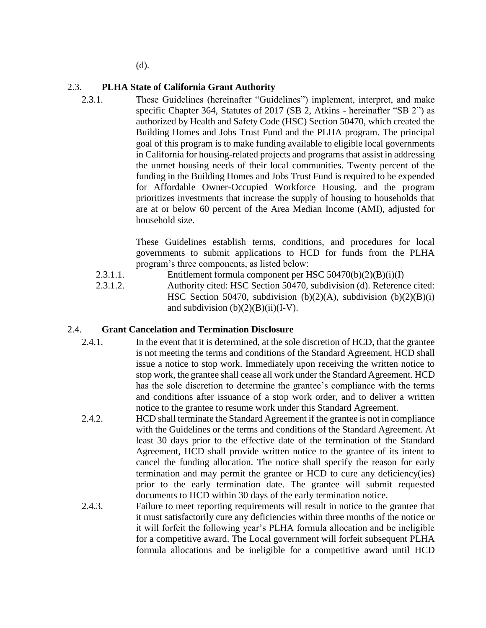(d).

#### 2.3. **PLHA State of California Grant Authority**

2.3.1. These Guidelines (hereinafter "Guidelines") implement, interpret, and make specific Chapter 364, Statutes of 2017 (SB 2, Atkins - hereinafter "SB 2") as authorized by Health and Safety Code (HSC) Section 50470, which created the Building Homes and Jobs Trust Fund and the PLHA program. The principal goal of this program is to make funding available to eligible local governments in California for housing-related projects and programs that assist in addressing the unmet housing needs of their local communities. Twenty percent of the funding in the Building Homes and Jobs Trust Fund is required to be expended for Affordable Owner-Occupied Workforce Housing, and the program prioritizes investments that increase the supply of housing to households that are at or below 60 percent of the Area Median Income (AMI), adjusted for household size.

> These Guidelines establish terms, conditions, and procedures for local governments to submit applications to HCD for funds from the PLHA program's three components, as listed below:

- 2.3.1.1. Entitlement formula component per HSC 50470(b)(2)(B)(i)(I)
- 2.3.1.2. Authority cited: HSC Section 50470, subdivision (d). Reference cited: HSC Section 50470, subdivision (b)(2)(A), subdivision (b)(2)(B)(i) and subdivision  $(b)(2)(B)(ii)(I-V)$ .

#### 2.4. **Grant Cancelation and Termination Disclosure**

- 2.4.1. In the event that it is determined, at the sole discretion of HCD, that the grantee is not meeting the terms and conditions of the Standard Agreement, HCD shall issue a notice to stop work. Immediately upon receiving the written notice to stop work, the grantee shall cease all work under the Standard Agreement. HCD has the sole discretion to determine the grantee's compliance with the terms and conditions after issuance of a stop work order, and to deliver a written notice to the grantee to resume work under this Standard Agreement.
- 2.4.2. HCD shall terminate the Standard Agreement if the grantee is not in compliance with the Guidelines or the terms and conditions of the Standard Agreement. At least 30 days prior to the effective date of the termination of the Standard Agreement, HCD shall provide written notice to the grantee of its intent to cancel the funding allocation. The notice shall specify the reason for early termination and may permit the grantee or HCD to cure any deficiency(ies) prior to the early termination date. The grantee will submit requested documents to HCD within 30 days of the early termination notice.
- 2.4.3. Failure to meet reporting requirements will result in notice to the grantee that it must satisfactorily cure any deficiencies within three months of the notice or it will forfeit the following year's PLHA formula allocation and be ineligible for a competitive award. The Local government will forfeit subsequent PLHA formula allocations and be ineligible for a competitive award until HCD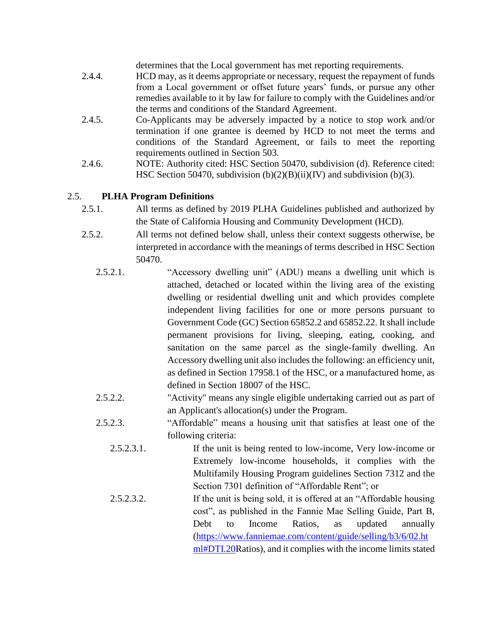determines that the Local government has met reporting requirements.

- 2.4.4. HCD may, as it deems appropriate or necessary, request the repayment of funds from a Local government or offset future years' funds, or pursue any other remedies available to it by law for failure to comply with the Guidelines and/or the terms and conditions of the Standard Agreement.
- 2.4.5. Co-Applicants may be adversely impacted by a notice to stop work and/or termination if one grantee is deemed by HCD to not meet the terms and conditions of the Standard Agreement, or fails to meet the reporting requirements outlined in Section 503.
- 2.4.6. NOTE: Authority cited: HSC Section 50470, subdivision (d). Reference cited: HSC Section 50470, subdivision  $(b)(2)(B)(ii)(IV)$  and subdivision  $(b)(3)$ .

#### 2.5. **PLHA Program Definitions**

- 2.5.1. All terms as defined by 2019 PLHA Guidelines published and authorized by the State of California Housing and Community Development (HCD).
- 2.5.2. All terms not defined below shall, unless their context suggests otherwise, be interpreted in accordance with the meanings of terms described in HSC Section 50470.
	- 2.5.2.1. "Accessory dwelling unit" (ADU) means a dwelling unit which is attached, detached or located within the living area of the existing dwelling or residential dwelling unit and which provides complete independent living facilities for one or more persons pursuant to Government Code (GC) Section 65852.2 and 65852.22. It shall include permanent provisions for living, sleeping, eating, cooking, and sanitation on the same parcel as the single-family dwelling. An Accessory dwelling unit also includes the following: an efficiency unit, as defined in Section 17958.1 of the HSC, or a manufactured home, as defined in Section 18007 of the HSC.
	- 2.5.2.2. "Activity" means any single eligible undertaking carried out as part of an Applicant's allocation(s) under the Program.
	- 2.5.2.3. "Affordable" means a housing unit that satisfies at least one of the following criteria:
		- 2.5.2.3.1. If the unit is being rented to low-income, Very low-income or Extremely low-income households, it complies with the Multifamily Housing Program guidelines Section 7312 and the Section 7301 definition of "Affordable Rent"; or
		- 2.5.2.3.2. If the unit is being sold, it is offered at an "Affordable housing cost", as published in the Fannie Mae Selling Guide, Part B, Debt to Income Ratios, as updated annually [\(https://www.fanniemae.com/content/guide/selling/b3/6/02.ht](https://www.fanniemae.com/content/guide/selling/b3/6/02.html#DTI.20) [ml#DTI.20R](https://www.fanniemae.com/content/guide/selling/b3/6/02.html#DTI.20)atios), and it complies with the income limits stated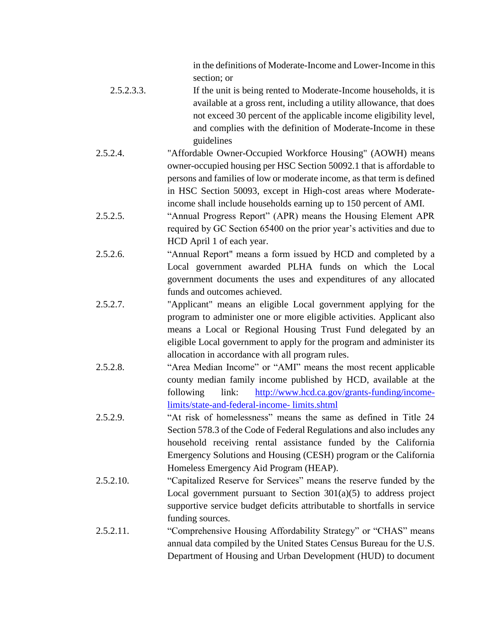in the definitions of Moderate-Income and Lower-Income in this section; or

- 2.5.2.3.3. If the unit is being rented to Moderate-Income households, it is available at a gross rent, including a utility allowance, that does not exceed 30 percent of the applicable income eligibility level, and complies with the definition of Moderate-Income in these guidelines
- 2.5.2.4. "Affordable Owner-Occupied Workforce Housing" (AOWH) means owner-occupied housing per HSC Section 50092.1 that is affordable to persons and families of low or moderate income, as that term is defined in HSC Section 50093, except in High-cost areas where Moderateincome shall include households earning up to 150 percent of AMI.
- 2.5.2.5. "Annual Progress Report" (APR) means the Housing Element APR required by GC Section 65400 on the prior year's activities and due to HCD April 1 of each year.
- 2.5.2.6. "Annual Report" means a form issued by HCD and completed by a Local government awarded PLHA funds on which the Local government documents the uses and expenditures of any allocated funds and outcomes achieved.
- 2.5.2.7. "Applicant" means an eligible Local government applying for the program to administer one or more eligible activities. Applicant also means a Local or Regional Housing Trust Fund delegated by an eligible Local government to apply for the program and administer its allocation in accordance with all program rules.
- 2.5.2.8. "Area Median Income" or "AMI" means the most recent applicable county median family income published by HCD, available at the following link: [http://www.hcd.ca.gov/grants-funding/income](http://www.hcd.ca.gov/grants-funding/income-limits/state-and-federal-income-%20limits.shtml)[limits/state-and-federal-income-](http://www.hcd.ca.gov/grants-funding/income-limits/state-and-federal-income-%20limits.shtml) limits.shtml
- 2.5.2.9. "At risk of homelessness" means the same as defined in Title 24 Section 578.3 of the Code of Federal Regulations and also includes any household receiving rental assistance funded by the California Emergency Solutions and Housing (CESH) program or the California Homeless Emergency Aid Program (HEAP).
- 2.5.2.10. "Capitalized Reserve for Services" means the reserve funded by the Local government pursuant to Section  $301(a)(5)$  to address project supportive service budget deficits attributable to shortfalls in service funding sources.
- 2.5.2.11. "Comprehensive Housing Affordability Strategy" or "CHAS" means annual data compiled by the United States Census Bureau for the U.S. Department of Housing and Urban Development (HUD) to document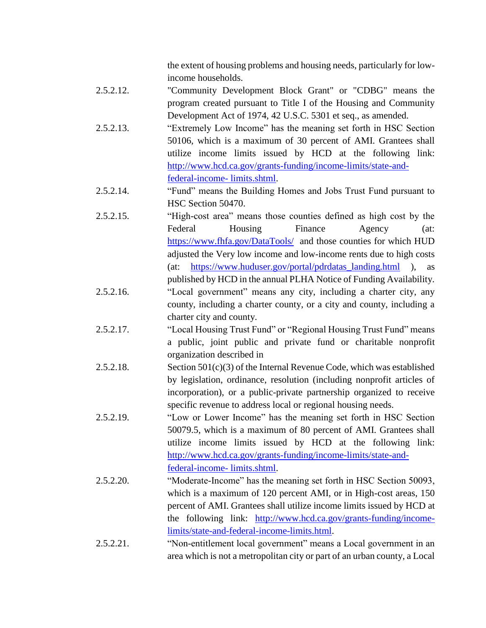the extent of housing problems and housing needs, particularly for lowincome households.

- 2.5.2.12. "Community Development Block Grant" or "CDBG" means the program created pursuant to Title I of the Housing and Community Development Act of 1974, 42 U.S.C. 5301 et seq., as amended.
- 2.5.2.13. "Extremely Low Income" has the meaning set forth in HSC Section 50106, which is a maximum of 30 percent of AMI. Grantees shall utilize income limits issued by HCD at the following link: [http://www.hcd.ca.gov/grants-funding/income-limits/state-and](http://www.hcd.ca.gov/grants-funding/income-limits/state-and-federal-income-%20limits.shtml)[federal-income-](http://www.hcd.ca.gov/grants-funding/income-limits/state-and-federal-income-%20limits.shtml) limits.shtml.
- 2.5.2.14. "Fund" means the Building Homes and Jobs Trust Fund pursuant to HSC Section 50470.
- 2.5.2.15. "High-cost area" means those counties defined as high cost by the Federal Housing Finance Agency (at: <https://www.fhfa.gov/DataTools/> and those counties for which HUD adjusted the Very low income and low-income rents due to high costs (at: [https://www.huduser.gov/portal/pdrdatas\\_landing.html](https://www.huduser.gov/portal/pdrdatas_landing.html) ), as published by HCD in the annual PLHA Notice of Funding Availability.
- 2.5.2.16. "Local government" means any city, including a charter city, any county, including a charter county, or a city and county, including a charter city and county.
- 2.5.2.17. "Local Housing Trust Fund" or "Regional Housing Trust Fund" means a public, joint public and private fund or charitable nonprofit organization described in
- 2.5.2.18. Section 501(c)(3) of the Internal Revenue Code, which was established by legislation, ordinance, resolution (including nonprofit articles of incorporation), or a public-private partnership organized to receive specific revenue to address local or regional housing needs.
- 2.5.2.19. "Low or Lower Income" has the meaning set forth in HSC Section 50079.5, which is a maximum of 80 percent of AMI. Grantees shall utilize income limits issued by HCD at the following link: [http://www.hcd.ca.gov/grants-funding/income-limits/state-and](http://www.hcd.ca.gov/grants-funding/income-limits/state-and-federal-income-%20limits.shtml)[federal-income-](http://www.hcd.ca.gov/grants-funding/income-limits/state-and-federal-income-%20limits.shtml) limits.shtml.
- 2.5.2.20. "Moderate-Income" has the meaning set forth in HSC Section 50093, which is a maximum of 120 percent AMI, or in High-cost areas, 150 percent of AMI. Grantees shall utilize income limits issued by HCD at the following link: [http://www.hcd.ca.gov/grants-funding/income](http://www.hcd.ca.gov/grants-funding/income-limits/state-and-federal-income-limits.html)[limits/state-and-federal-income-limits.html.](http://www.hcd.ca.gov/grants-funding/income-limits/state-and-federal-income-limits.html)

2.5.2.21. "Non-entitlement local government" means a Local government in an area which is not a metropolitan city or part of an urban county, a Local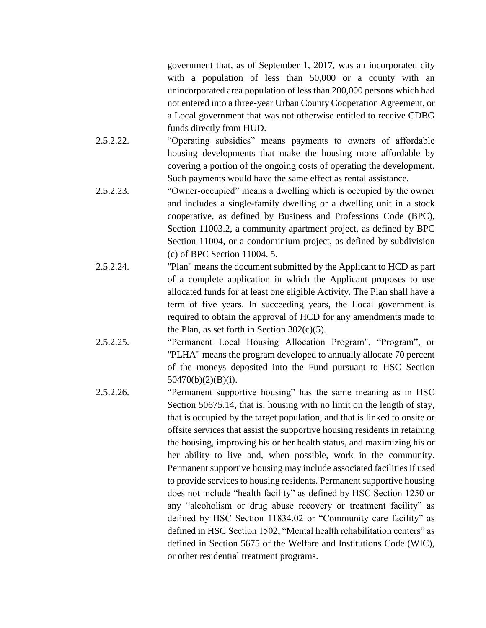government that, as of September 1, 2017, was an incorporated city with a population of less than 50,000 or a county with an unincorporated area population of less than 200,000 persons which had not entered into a three-year Urban County Cooperation Agreement, or a Local government that was not otherwise entitled to receive CDBG funds directly from HUD.

- 2.5.2.22. "Operating subsidies" means payments to owners of affordable housing developments that make the housing more affordable by covering a portion of the ongoing costs of operating the development. Such payments would have the same effect as rental assistance.
- 2.5.2.23. "Owner-occupied" means a dwelling which is occupied by the owner and includes a single-family dwelling or a dwelling unit in a stock cooperative, as defined by Business and Professions Code (BPC), Section 11003.2, a community apartment project, as defined by BPC Section 11004, or a condominium project, as defined by subdivision (c) of BPC Section 11004. 5.
- 2.5.2.24. "Plan" means the document submitted by the Applicant to HCD as part of a complete application in which the Applicant proposes to use allocated funds for at least one eligible Activity. The Plan shall have a term of five years. In succeeding years, the Local government is required to obtain the approval of HCD for any amendments made to the Plan, as set forth in Section  $302(c)(5)$ .
- 2.5.2.25. "Permanent Local Housing Allocation Program", "Program", or "PLHA" means the program developed to annually allocate 70 percent of the moneys deposited into the Fund pursuant to HSC Section 50470(b)(2)(B)(i).
- 2.5.2.26. "Permanent supportive housing" has the same meaning as in HSC Section 50675.14, that is, housing with no limit on the length of stay, that is occupied by the target population, and that is linked to onsite or offsite services that assist the supportive housing residents in retaining the housing, improving his or her health status, and maximizing his or her ability to live and, when possible, work in the community. Permanent supportive housing may include associated facilities if used to provide services to housing residents. Permanent supportive housing does not include "health facility" as defined by HSC Section 1250 or any "alcoholism or drug abuse recovery or treatment facility" as defined by HSC Section 11834.02 or "Community care facility" as defined in HSC Section 1502, "Mental health rehabilitation centers" as defined in Section 5675 of the Welfare and Institutions Code (WIC), or other residential treatment programs.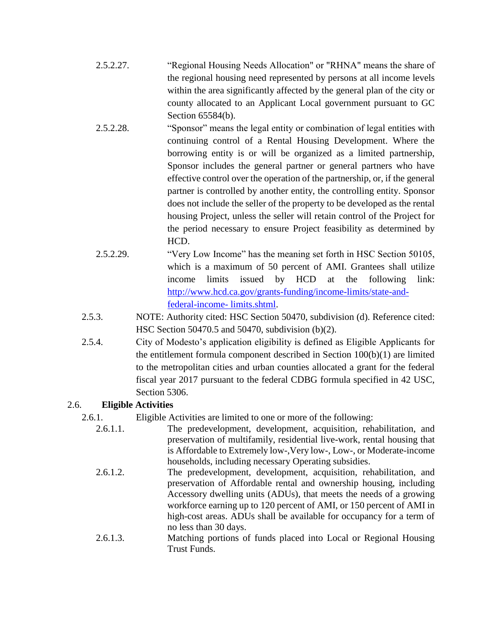- 2.5.2.27. "Regional Housing Needs Allocation" or "RHNA" means the share of the regional housing need represented by persons at all income levels within the area significantly affected by the general plan of the city or county allocated to an Applicant Local government pursuant to GC Section 65584(b).
- 2.5.2.28. "Sponsor" means the legal entity or combination of legal entities with continuing control of a Rental Housing Development. Where the borrowing entity is or will be organized as a limited partnership, Sponsor includes the general partner or general partners who have effective control over the operation of the partnership, or, if the general partner is controlled by another entity, the controlling entity. Sponsor does not include the seller of the property to be developed as the rental housing Project, unless the seller will retain control of the Project for the period necessary to ensure Project feasibility as determined by HCD.
- 2.5.2.29. "Very Low Income" has the meaning set forth in HSC Section 50105, which is a maximum of 50 percent of AMI. Grantees shall utilize income limits issued by HCD at the following link: [http://www.hcd.ca.gov/grants-funding/income-limits/state-and](http://www.hcd.ca.gov/grants-funding/income-limits/state-and-federal-income-%20limits.shtml)[federal-income-](http://www.hcd.ca.gov/grants-funding/income-limits/state-and-federal-income-%20limits.shtml) limits.shtml.
- 2.5.3. NOTE: Authority cited: HSC Section 50470, subdivision (d). Reference cited: HSC Section 50470.5 and 50470, subdivision (b)(2).
- 2.5.4. City of Modesto's application eligibility is defined as Eligible Applicants for the entitlement formula component described in Section  $100(b)(1)$  are limited to the metropolitan cities and urban counties allocated a grant for the federal fiscal year 2017 pursuant to the federal CDBG formula specified in 42 USC, Section 5306.

#### 2.6. **Eligible Activities**

2.6.1. Eligible Activities are limited to one or more of the following:

- 2.6.1.1. The predevelopment, development, acquisition, rehabilitation, and preservation of multifamily, residential live-work, rental housing that is Affordable to Extremely low-,Very low-, Low-, or Moderate-income households, including necessary Operating subsidies.
- 2.6.1.2. The predevelopment, development, acquisition, rehabilitation, and preservation of Affordable rental and ownership housing, including Accessory dwelling units (ADUs), that meets the needs of a growing workforce earning up to 120 percent of AMI, or 150 percent of AMI in high-cost areas. ADUs shall be available for occupancy for a term of no less than 30 days.
- 2.6.1.3. Matching portions of funds placed into Local or Regional Housing Trust Funds.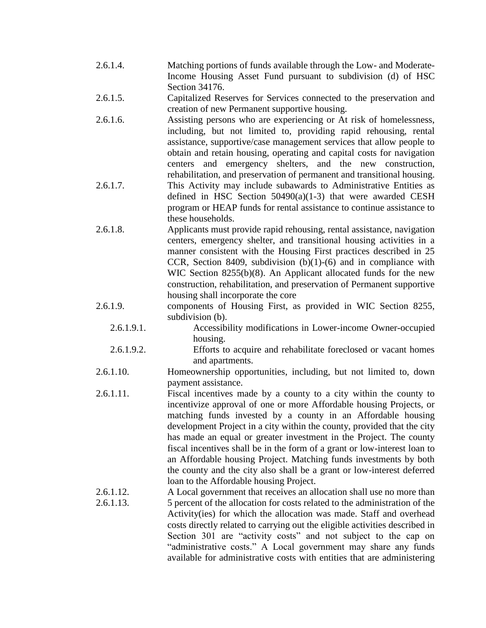- 2.6.1.4. Matching portions of funds available through the Low- and Moderate-Income Housing Asset Fund pursuant to subdivision (d) of HSC Section 34176.
- 2.6.1.5. Capitalized Reserves for Services connected to the preservation and creation of new Permanent supportive housing.
- 2.6.1.6. Assisting persons who are experiencing or At risk of homelessness, including, but not limited to, providing rapid rehousing, rental assistance, supportive/case management services that allow people to obtain and retain housing, operating and capital costs for navigation centers and emergency shelters, and the new construction, rehabilitation, and preservation of permanent and transitional housing.
- 2.6.1.7. This Activity may include subawards to Administrative Entities as defined in HSC Section 50490(a)(1-3) that were awarded CESH program or HEAP funds for rental assistance to continue assistance to these households.
- 2.6.1.8. Applicants must provide rapid rehousing, rental assistance, navigation centers, emergency shelter, and transitional housing activities in a manner consistent with the Housing First practices described in 25 CCR, Section 8409, subdivision (b)(1)-(6) and in compliance with WIC Section 8255(b)(8). An Applicant allocated funds for the new construction, rehabilitation, and preservation of Permanent supportive housing shall incorporate the core
- 2.6.1.9. components of Housing First, as provided in WIC Section 8255, subdivision (b).
	- 2.6.1.9.1. Accessibility modifications in Lower-income Owner-occupied housing.
	- 2.6.1.9.2. Efforts to acquire and rehabilitate foreclosed or vacant homes and apartments.
- 2.6.1.10. Homeownership opportunities, including, but not limited to, down payment assistance.
- 2.6.1.11. Fiscal incentives made by a county to a city within the county to incentivize approval of one or more Affordable housing Projects, or matching funds invested by a county in an Affordable housing development Project in a city within the county, provided that the city has made an equal or greater investment in the Project. The county fiscal incentives shall be in the form of a grant or low-interest loan to an Affordable housing Project. Matching funds investments by both the county and the city also shall be a grant or low-interest deferred loan to the Affordable housing Project.
- 2.6.1.12. A Local government that receives an allocation shall use no more than 2.6.1.13. 5 percent of the allocation for costs related to the administration of the Activity(ies) for which the allocation was made. Staff and overhead costs directly related to carrying out the eligible activities described in Section 301 are "activity costs" and not subject to the cap on "administrative costs." A Local government may share any funds available for administrative costs with entities that are administering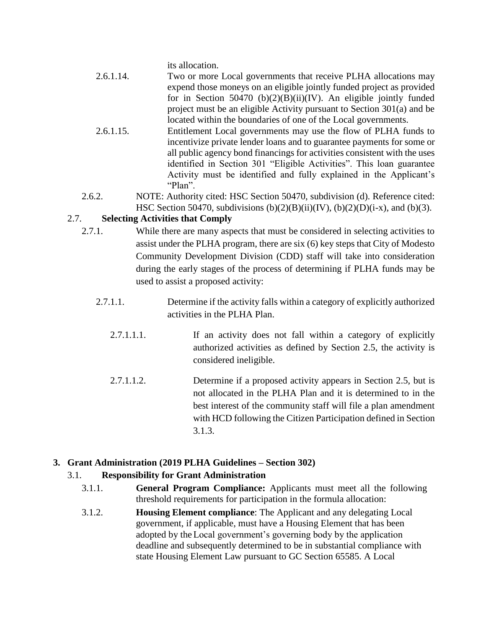its allocation.

- 2.6.1.14. Two or more Local governments that receive PLHA allocations may expend those moneys on an eligible jointly funded project as provided for in Section 50470 (b) $(2)(B)(ii)(IV)$ . An eligible jointly funded project must be an eligible Activity pursuant to Section 301(a) and be located within the boundaries of one of the Local governments.
- 2.6.1.15. Entitlement Local governments may use the flow of PLHA funds to incentivize private lender loans and to guarantee payments for some or all public agency bond financings for activities consistent with the uses identified in Section 301 "Eligible Activities". This loan guarantee Activity must be identified and fully explained in the Applicant's "Plan".
- 2.6.2. NOTE: Authority cited: HSC Section 50470, subdivision (d). Reference cited: HSC Section 50470, subdivisions  $(b)(2)(B)(ii)(IV)$ ,  $(b)(2)(D)(i-x)$ , and  $(b)(3)$ .

#### 2.7. **Selecting Activities that Comply**

- 2.7.1. While there are many aspects that must be considered in selecting activities to assist under the PLHA program, there are six (6) key steps that City of Modesto Community Development Division (CDD) staff will take into consideration during the early stages of the process of determining if PLHA funds may be used to assist a proposed activity:
	- 2.7.1.1. Determine if the activity falls within a category of explicitly authorized activities in the PLHA Plan.
		- 2.7.1.1.1. If an activity does not fall within a category of explicitly authorized activities as defined by Section 2.5, the activity is considered ineligible.
		- 2.7.1.1.2. Determine if a proposed activity appears in Section 2.5, but is not allocated in the PLHA Plan and it is determined to in the best interest of the community staff will file a plan amendment with HCD following the Citizen Participation defined in Section 3.1.3.

#### **3. Grant Administration (2019 PLHA Guidelines – Section 302)**

#### 3.1. **Responsibility for Grant Administration**

- 3.1.1. **General Program Compliance:** Applicants must meet all the following threshold requirements for participation in the formula allocation:
- 3.1.2. **Housing Element compliance**: The Applicant and any delegating Local government, if applicable, must have a Housing Element that has been adopted by the Local government's governing body by the application deadline and subsequently determined to be in substantial compliance with state Housing Element Law pursuant to GC Section 65585. A Local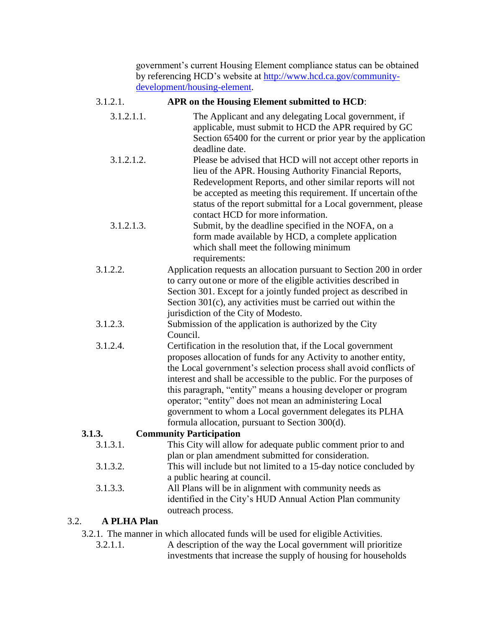government's current Housing Element compliance status can be obtained by referencing HCD's website at [http://www.hcd.ca.gov/community](http://www.hcd.ca.gov/community-development/housing-element)[development/housing-element.](http://www.hcd.ca.gov/community-development/housing-element)

#### 3.1.2.1. **APR on the Housing Element submitted to HCD**:

| 3.1.2.1.1.         | The Applicant and any delegating Local government, if<br>applicable, must submit to HCD the APR required by GC<br>Section 65400 for the current or prior year by the application                                                                                                                                   |
|--------------------|--------------------------------------------------------------------------------------------------------------------------------------------------------------------------------------------------------------------------------------------------------------------------------------------------------------------|
|                    | deadline date.                                                                                                                                                                                                                                                                                                     |
| 3.1.2.1.2.         | Please be advised that HCD will not accept other reports in<br>lieu of the APR. Housing Authority Financial Reports,<br>Redevelopment Reports, and other similar reports will not<br>be accepted as meeting this requirement. If uncertain of the<br>status of the report submittal for a Local government, please |
|                    | contact HCD for more information.                                                                                                                                                                                                                                                                                  |
| 3.1.2.1.3.         | Submit, by the deadline specified in the NOFA, on a<br>form made available by HCD, a complete application<br>which shall meet the following minimum<br>requirements:                                                                                                                                               |
| 3.1.2.2.           | Application requests an allocation pursuant to Section 200 in order                                                                                                                                                                                                                                                |
|                    | to carry out one or more of the eligible activities described in                                                                                                                                                                                                                                                   |
|                    | Section 301. Except for a jointly funded project as described in                                                                                                                                                                                                                                                   |
|                    | Section 301(c), any activities must be carried out within the                                                                                                                                                                                                                                                      |
|                    | jurisdiction of the City of Modesto.                                                                                                                                                                                                                                                                               |
| 3.1.2.3.           | Submission of the application is authorized by the City                                                                                                                                                                                                                                                            |
|                    | Council.                                                                                                                                                                                                                                                                                                           |
| 3.1.2.4.           | Certification in the resolution that, if the Local government                                                                                                                                                                                                                                                      |
|                    | proposes allocation of funds for any Activity to another entity,                                                                                                                                                                                                                                                   |
|                    | the Local government's selection process shall avoid conflicts of                                                                                                                                                                                                                                                  |
|                    | interest and shall be accessible to the public. For the purposes of                                                                                                                                                                                                                                                |
|                    | this paragraph, "entity" means a housing developer or program                                                                                                                                                                                                                                                      |
|                    | operator; "entity" does not mean an administering Local                                                                                                                                                                                                                                                            |
|                    | government to whom a Local government delegates its PLHA                                                                                                                                                                                                                                                           |
|                    | formula allocation, pursuant to Section 300(d).                                                                                                                                                                                                                                                                    |
| 3.1.3.             | <b>Community Participation</b>                                                                                                                                                                                                                                                                                     |
| 3.1.3.1.           | This City will allow for adequate public comment prior to and                                                                                                                                                                                                                                                      |
|                    | plan or plan amendment submitted for consideration.                                                                                                                                                                                                                                                                |
| 3.1.3.2.           | This will include but not limited to a 15-day notice concluded by                                                                                                                                                                                                                                                  |
|                    | a public hearing at council.                                                                                                                                                                                                                                                                                       |
| 3.1.3.3.           | All Plans will be in alignment with community needs as                                                                                                                                                                                                                                                             |
|                    | identified in the City's HUD Annual Action Plan community                                                                                                                                                                                                                                                          |
|                    | outreach process.                                                                                                                                                                                                                                                                                                  |
| <b>A PLHA Plan</b> |                                                                                                                                                                                                                                                                                                                    |
|                    |                                                                                                                                                                                                                                                                                                                    |

3.2.1. The manner in which allocated funds will be used for eligible Activities.

3.2.

3.2.1.1. A description of the way the Local government will prioritize investments that increase the supply of housing for households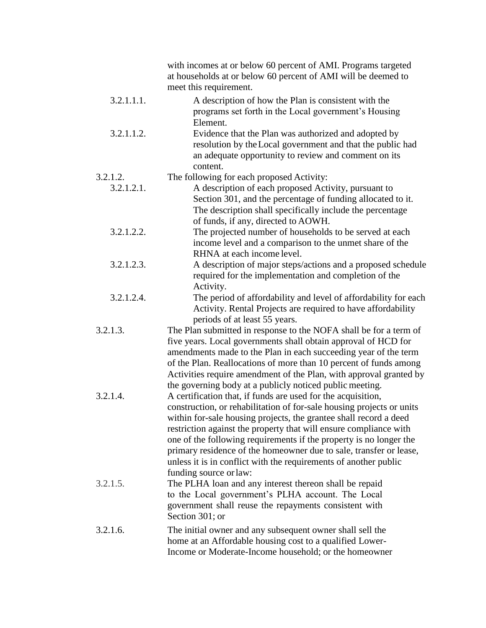|            | with incomes at or below 60 percent of AMI. Programs targeted<br>at households at or below 60 percent of AMI will be deemed to<br>meet this requirement.                                                                                                                                                                                                                                                                                                                                        |
|------------|-------------------------------------------------------------------------------------------------------------------------------------------------------------------------------------------------------------------------------------------------------------------------------------------------------------------------------------------------------------------------------------------------------------------------------------------------------------------------------------------------|
| 3.2.1.1.1. | A description of how the Plan is consistent with the<br>programs set forth in the Local government's Housing<br>Element.                                                                                                                                                                                                                                                                                                                                                                        |
| 3.2.1.1.2. | Evidence that the Plan was authorized and adopted by<br>resolution by the Local government and that the public had<br>an adequate opportunity to review and comment on its<br>content.                                                                                                                                                                                                                                                                                                          |
| 3.2.1.2.   | The following for each proposed Activity:                                                                                                                                                                                                                                                                                                                                                                                                                                                       |
| 3.2.1.2.1. | A description of each proposed Activity, pursuant to<br>Section 301, and the percentage of funding allocated to it.<br>The description shall specifically include the percentage<br>of funds, if any, directed to AOWH.                                                                                                                                                                                                                                                                         |
| 3.2.1.2.2. | The projected number of households to be served at each<br>income level and a comparison to the unmet share of the<br>RHNA at each income level.                                                                                                                                                                                                                                                                                                                                                |
| 3.2.1.2.3. | A description of major steps/actions and a proposed schedule<br>required for the implementation and completion of the<br>Activity.                                                                                                                                                                                                                                                                                                                                                              |
| 3.2.1.2.4. | The period of affordability and level of affordability for each<br>Activity. Rental Projects are required to have affordability<br>periods of at least 55 years.                                                                                                                                                                                                                                                                                                                                |
| 3.2.1.3.   | The Plan submitted in response to the NOFA shall be for a term of<br>five years. Local governments shall obtain approval of HCD for<br>amendments made to the Plan in each succeeding year of the term<br>of the Plan. Reallocations of more than 10 percent of funds among<br>Activities require amendment of the Plan, with approval granted by<br>the governing body at a publicly noticed public meeting.                                                                                   |
| 3.2.1.4.   | A certification that, if funds are used for the acquisition,<br>construction, or rehabilitation of for-sale housing projects or units<br>within for-sale housing projects, the grantee shall record a deed<br>restriction against the property that will ensure compliance with<br>one of the following requirements if the property is no longer the<br>primary residence of the homeowner due to sale, transfer or lease,<br>unless it is in conflict with the requirements of another public |
| 3.2.1.5.   | funding source or law:<br>The PLHA loan and any interest thereon shall be repaid<br>to the Local government's PLHA account. The Local<br>government shall reuse the repayments consistent with<br>Section 301; or                                                                                                                                                                                                                                                                               |
| 3.2.1.6.   | The initial owner and any subsequent owner shall sell the<br>home at an Affordable housing cost to a qualified Lower-<br>Income or Moderate-Income household; or the homeowner                                                                                                                                                                                                                                                                                                                  |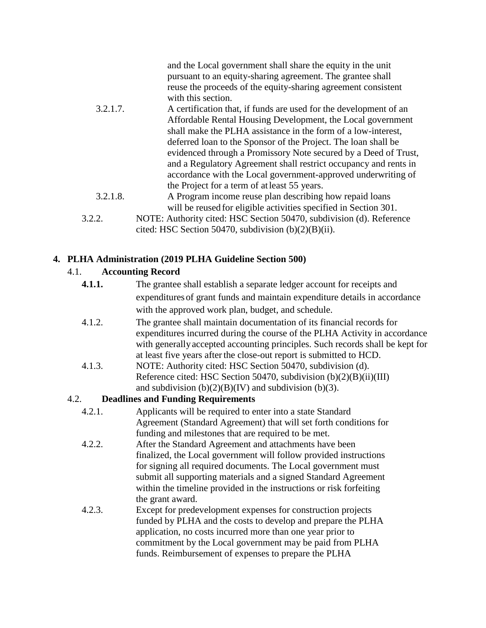|          | and the Local government shall share the equity in the unit<br>pursuant to an equity-sharing agreement. The grantee shall<br>reuse the proceeds of the equity-sharing agreement consistent<br>with this section. |
|----------|------------------------------------------------------------------------------------------------------------------------------------------------------------------------------------------------------------------|
| 3.2.1.7. | A certification that, if funds are used for the development of an                                                                                                                                                |
|          | Affordable Rental Housing Development, the Local government                                                                                                                                                      |
|          | shall make the PLHA assistance in the form of a low-interest,                                                                                                                                                    |
|          | deferred loan to the Sponsor of the Project. The loan shall be                                                                                                                                                   |
|          | evidenced through a Promissory Note secured by a Deed of Trust,                                                                                                                                                  |
|          | and a Regulatory Agreement shall restrict occupancy and rents in                                                                                                                                                 |
|          | accordance with the Local government-approved underwriting of                                                                                                                                                    |
|          | the Project for a term of at least 55 years.                                                                                                                                                                     |
| 3.2.1.8. | A Program income reuse plan describing how repaid loans                                                                                                                                                          |
|          | will be reused for eligible activities specified in Section 301.                                                                                                                                                 |
| 3.2.2.   | NOTE: Authority cited: HSC Section 50470, subdivision (d). Reference                                                                                                                                             |
|          | cited: HSC Section 50470, subdivision $(b)(2)(B)(ii)$ .                                                                                                                                                          |

# **4. PLHA Administration (2019 PLHA Guideline Section 500)**

# 4.1. **Accounting Record**

| 4.1.1. | The grantee shall establish a separate ledger account for receipts and        |
|--------|-------------------------------------------------------------------------------|
|        | expenditures of grant funds and maintain expenditure details in accordance    |
|        |                                                                               |
|        | with the approved work plan, budget, and schedule.                            |
| 4.1.2. | The grantee shall maintain documentation of its financial records for         |
|        | expenditures incurred during the course of the PLHA Activity in accordance    |
|        | with generally accepted accounting principles. Such records shall be kept for |
|        | at least five years after the close-out report is submitted to HCD.           |
| 4.1.3. | NOTE: Authority cited: HSC Section 50470, subdivision (d).                    |
|        | Reference cited: HSC Section 50470, subdivision $(b)(2)(B)(ii)(III)$          |
|        | and subdivision $(b)(2)(B)(IV)$ and subdivision $(b)(3)$ .                    |
| 4.2.   | <b>Deadlines and Funding Requirements</b>                                     |
| 4.2.1. | Applicants will be required to enter into a state Standard                    |
|        | Agreement (Standard Agreement) that will set forth conditions for             |
|        | funding and milestones that are required to be met.                           |
| 4.2.2. | After the Standard Agreement and attachments have been                        |
|        | finalized, the Local government will follow provided instructions             |
|        | for signing all required documents. The Local government must                 |
|        | submit all supporting materials and a signed Standard Agreement               |
|        | within the timeline provided in the instructions or risk forfeiting           |
|        | the grant award.                                                              |
| 4.2.3. | Except for predevelopment expenses for construction projects                  |
|        | funded by PLHA and the costs to develop and prepare the PLHA                  |
|        | application, no costs incurred more than one year prior to                    |
|        | commitment by the Local government may be paid from PLHA                      |
|        | funds. Reimbursement of expenses to prepare the PLHA                          |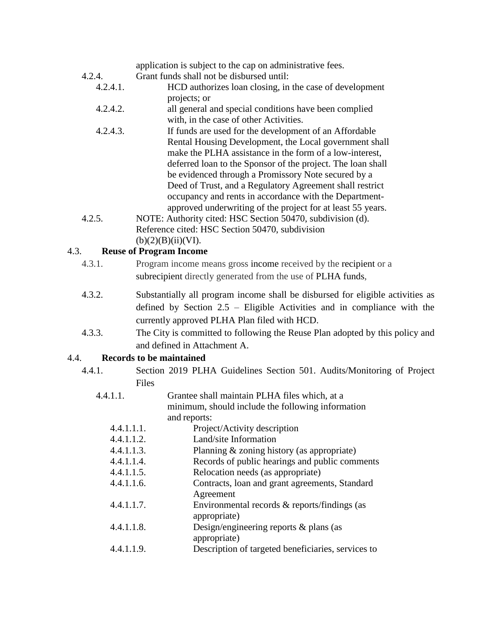# application is subject to the cap on administrative fees.

- 4.2.4. Grant funds shall not be disbursed until:
	- 4.2.4.1. HCD authorizes loan closing, in the case of development projects; or
		- 4.2.4.2. all general and special conditions have been complied with, in the case of other Activities.
		- 4.2.4.3. If funds are used for the development of an Affordable Rental Housing Development, the Local government shall make the PLHA assistance in the form of a low-interest, deferred loan to the Sponsor of the project. The loan shall be evidenced through a Promissory Note secured by a Deed of Trust, and a Regulatory Agreement shall restrict occupancy and rents in accordance with the Departmentapproved underwriting of the project for at least 55 years.
- 4.2.5. NOTE: Authority cited: HSC Section 50470, subdivision (d). Reference cited: HSC Section 50470, subdivision  $(b)(2)(B)(ii)(VI).$

# 4.3. **Reuse of Program Income**

| 4.3.1. | Program income means gross income received by the recipient or a<br>subrecipient directly generated from the use of PLHA funds,                                                                             |
|--------|-------------------------------------------------------------------------------------------------------------------------------------------------------------------------------------------------------------|
| 4.3.2. | Substantially all program income shall be disbursed for eligible activities as<br>defined by Section $2.5$ – Eligible Activities and in compliance with the<br>currently approved PLHA Plan filed with HCD. |
| 4.3.3. | The City is committed to following the Reuse Plan adopted by this policy and                                                                                                                                |

and defined in Attachment A.

# 4.4. **Records to be maintained**

| 4.4.1. |              |  |  | Section 2019 PLHA Guidelines Section 501. Audits/Monitoring of Project |  |
|--------|--------------|--|--|------------------------------------------------------------------------|--|
|        | <b>Files</b> |  |  |                                                                        |  |

| 4.4.1.1.   | Grantee shall maintain PLHA files which, at a      |
|------------|----------------------------------------------------|
|            | minimum, should include the following information  |
|            | and reports:                                       |
| 4.4.1.1.1. | Project/Activity description                       |
| 4.4.1.1.2. | Land/site Information                              |
| 4.4.1.1.3. | Planning & zoning history (as appropriate)         |
| 4.4.1.1.4. | Records of public hearings and public comments     |
| 4.4.1.1.5. | Relocation needs (as appropriate)                  |
| 4.4.1.1.6. | Contracts, loan and grant agreements, Standard     |
|            | Agreement                                          |
| 4.4.1.1.7. | Environmental records & reports/findings (as       |
|            | appropriate)                                       |
| 4.4.1.1.8. | Design/engineering reports $\&$ plans (as          |
|            | appropriate)                                       |
| 4.4.1.1.9. | Description of targeted beneficiaries, services to |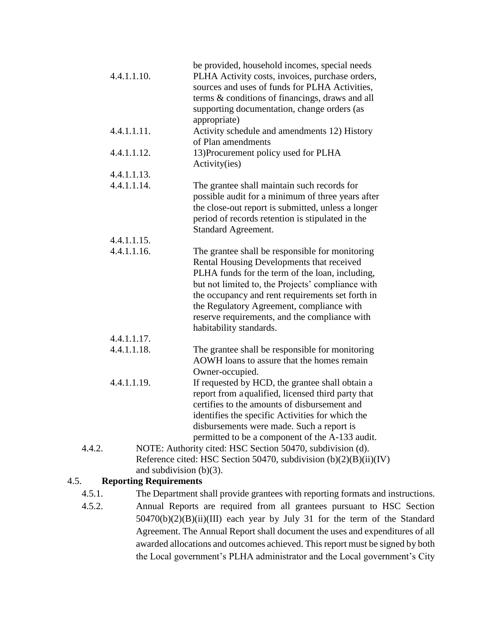|             | be provided, household incomes, special needs                                                         |  |
|-------------|-------------------------------------------------------------------------------------------------------|--|
| 4.4.1.1.10. | PLHA Activity costs, invoices, purchase orders,                                                       |  |
|             | sources and uses of funds for PLHA Activities,                                                        |  |
|             | terms & conditions of financings, draws and all                                                       |  |
|             | supporting documentation, change orders (as                                                           |  |
|             | appropriate)                                                                                          |  |
| 4.4.1.1.11. | Activity schedule and amendments 12) History                                                          |  |
|             | of Plan amendments                                                                                    |  |
| 4.4.1.1.12. | 13) Procurement policy used for PLHA                                                                  |  |
|             | Activity(ies)                                                                                         |  |
| 4.4.1.1.13. |                                                                                                       |  |
| 4.4.1.1.14. | The grantee shall maintain such records for                                                           |  |
|             | possible audit for a minimum of three years after                                                     |  |
|             | the close-out report is submitted, unless a longer                                                    |  |
|             | period of records retention is stipulated in the                                                      |  |
|             | <b>Standard Agreement.</b>                                                                            |  |
| 4.4.1.1.15. |                                                                                                       |  |
| 4.4.1.1.16. | The grantee shall be responsible for monitoring                                                       |  |
|             | Rental Housing Developments that received                                                             |  |
|             | PLHA funds for the term of the loan, including,                                                       |  |
|             | but not limited to, the Projects' compliance with                                                     |  |
|             | the occupancy and rent requirements set forth in                                                      |  |
|             | the Regulatory Agreement, compliance with                                                             |  |
|             | reserve requirements, and the compliance with                                                         |  |
|             | habitability standards.                                                                               |  |
| 4.4.1.1.17. |                                                                                                       |  |
| 4.4.1.1.18. |                                                                                                       |  |
|             | The grantee shall be responsible for monitoring<br>AOWH loans to assure that the homes remain         |  |
|             |                                                                                                       |  |
| 4.4.1.1.19. | Owner-occupied.                                                                                       |  |
|             | If requested by HCD, the grantee shall obtain a<br>report from a qualified, licensed third party that |  |
|             | certifies to the amounts of disbursement and                                                          |  |
|             |                                                                                                       |  |
|             | identifies the specific Activities for which the                                                      |  |
|             | disbursements were made. Such a report is<br>permitted to be a component of the A-133 audit.          |  |
| 4.4.2.      |                                                                                                       |  |
|             | NOTE: Authority cited: HSC Section 50470, subdivision (d).                                            |  |
|             | Reference cited: HSC Section 50470, subdivision $(b)(2)(B)(ii)(IV)$<br>and subdivision $(b)(3)$ .     |  |
| 4.5.        | <b>Reporting Requirements</b>                                                                         |  |
|             |                                                                                                       |  |
| 4.5.1.      | The Department shall provide grantees with reporting formats and instructions.                        |  |

4.5.2. Annual Reports are required from all grantees pursuant to HSC Section 50470(b)(2)(B)(ii)(III) each year by July 31 for the term of the Standard Agreement. The Annual Report shall document the uses and expenditures of all awarded allocations and outcomes achieved. This report must be signed by both the Local government's PLHA administrator and the Local government's City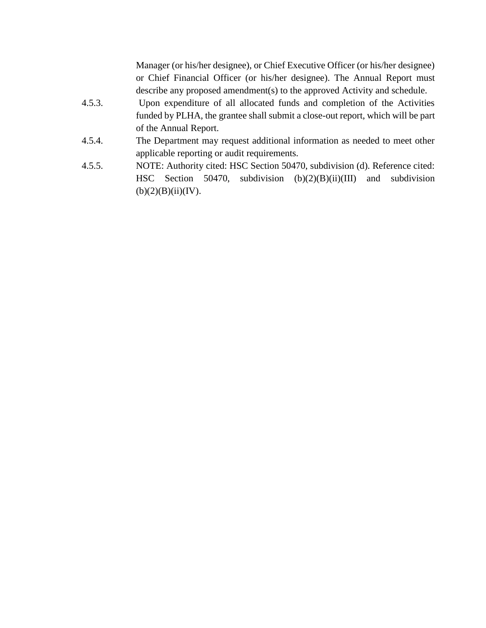Manager (or his/her designee), or Chief Executive Officer (or his/her designee) or Chief Financial Officer (or his/her designee). The Annual Report must describe any proposed amendment(s) to the approved Activity and schedule.

- 4.5.3. Upon expenditure of all allocated funds and completion of the Activities funded by PLHA, the grantee shall submit a close-out report, which will be part of the Annual Report.
- 4.5.4. The Department may request additional information as needed to meet other applicable reporting or audit requirements.
- 4.5.5. NOTE: Authority cited: HSC Section 50470, subdivision (d). Reference cited: HSC Section 50470, subdivision (b)(2)(B)(ii)(III) and subdivision  $(b)(2)(B)(ii)(IV).$